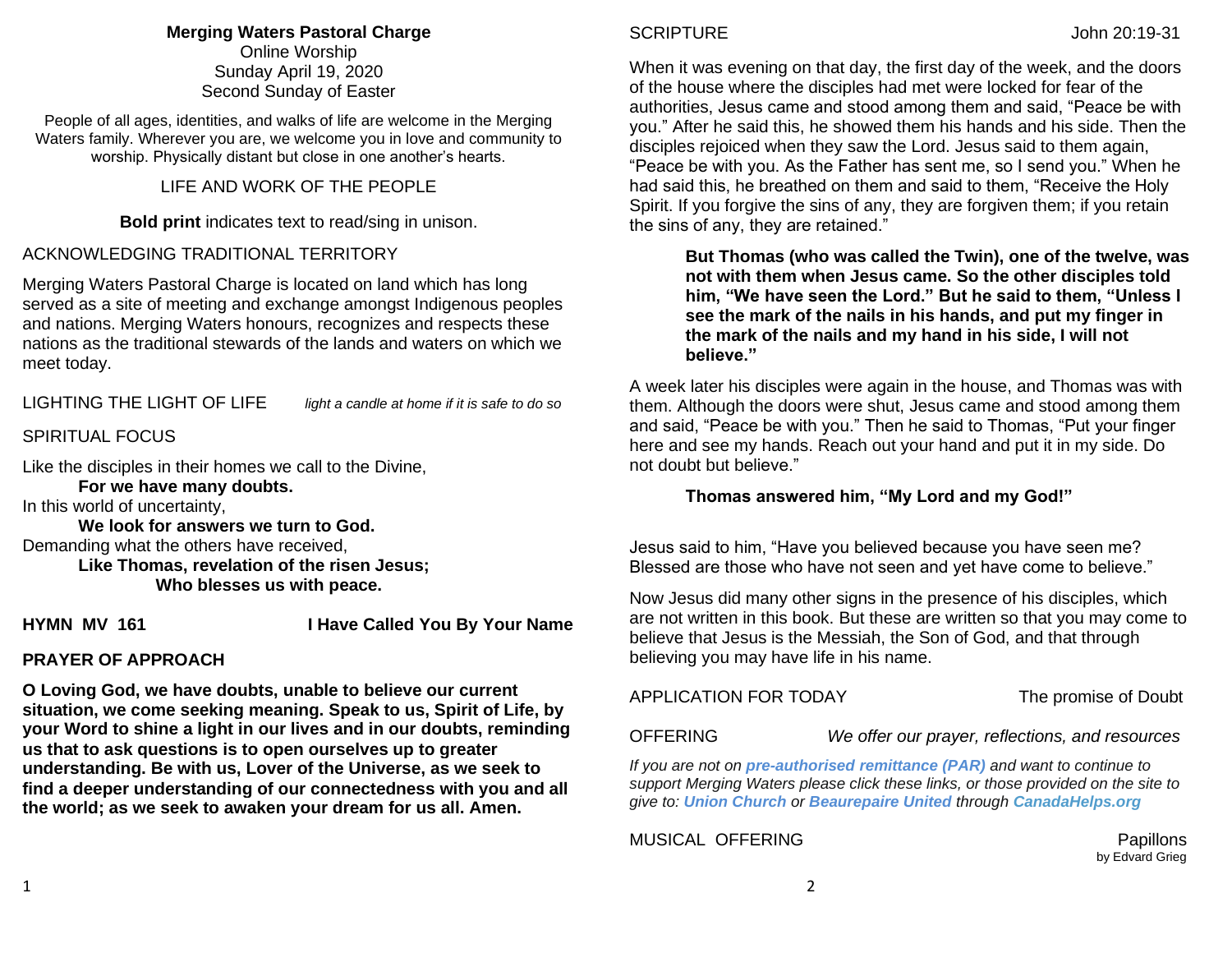# **Merging Waters Pastoral Charge**

Online Worship Sunday April 19, 2020 Second Sunday of Easter

People of all ages, identities, and walks of life are welcome in the Merging Waters family. Wherever you are, we welcome you in love and community to worship. Physically distant but close in one another's hearts.

# LIFE AND WORK OF THE PEOPLE

**Bold print** indicates text to read/sing in unison.

# ACKNOWLEDGING TRADITIONAL TERRITORY

Merging Waters Pastoral Charge is located on land which has long served as a site of meeting and exchange amongst Indigenous peoples and nations. Merging Waters honours, recognizes and respects these nations as the traditional stewards of the lands and waters on which we meet today.

# LIGHTING THE LIGHT OF LIFE *light a candle at home if it is safe to do so*

# SPIRITUAL FOCUS

Like the disciples in their homes we call to the Divine,

**For we have many doubts.**

In this world of uncertainty,

**We look for answers we turn to God.** Demanding what the others have received,

> **Like Thomas, revelation of the risen Jesus; Who blesses us with peace.**

**HYMN MV 161 I Have Called You By Your Name** 

# **PRAYER OF APPROACH**

**O Loving God, we have doubts, unable to believe our current situation, we come seeking meaning. Speak to us, Spirit of Life, by your Word to shine a light in our lives and in our doubts, reminding us that to ask questions is to open ourselves up to greater understanding. Be with us, Lover of the Universe, as we seek to find a deeper understanding of our connectedness with you and all the world; as we seek to awaken your dream for us all. Amen.**

When it was evening on that day, the first day of the week, and the doors of the house where the disciples had met were locked for fear of the authorities, Jesus came and stood among them and said, "Peace be with you." After he said this, he showed them his hands and his side. Then the disciples rejoiced when they saw the Lord. Jesus said to them again, "Peace be with you. As the Father has sent me, so I send you." When he had said this, he breathed on them and said to them, "Receive the Holy Spirit. If you forgive the sins of any, they are forgiven them; if you retain the sins of any, they are retained."

**But Thomas (who was called the Twin), one of the twelve, was not with them when Jesus came. So the other disciples told him, "We have seen the Lord." But he said to them, "Unless I see the mark of the nails in his hands, and put my finger in the mark of the nails and my hand in his side, I will not believe."**

A week later his disciples were again in the house, and Thomas was with them. Although the doors were shut, Jesus came and stood among them and said, "Peace be with you." Then he said to Thomas, "Put your finger here and see my hands. Reach out your hand and put it in my side. Do not doubt but believe."

## **Thomas answered him, "My Lord and my God!"**

Jesus said to him, "Have you believed because you have seen me? Blessed are those who have not seen and yet have come to believe."

Now Jesus did many other signs in the presence of his disciples, which are not written in this book. But these are written so that you may come to believe that Jesus is the Messiah, the Son of God, and that through believing you may have life in his name.

## APPLICATION FOR TODAY The promise of Doubt

OFFERING *We offer our prayer, reflections, and resources*

*If you are not on pre-authorised [remittance \(PAR\)](http://mergingwaters.ca/mt-content/uploads/2020/03/form_par-authorization.pdf) and want to continue to support Merging Waters please click these links, or those provided on the site to give to: [Union Church](https://www.canadahelps.org/en/charities/union-church-ste-anne-de-bellevue/) or [Beaurepaire United](https://www.canadahelps.org/en/charities/beaurepaire-united-church/) through [CanadaHelps.org](http://www.canadahelps.org/)* 

MUSICAL OFFERING **Papillons** Papillons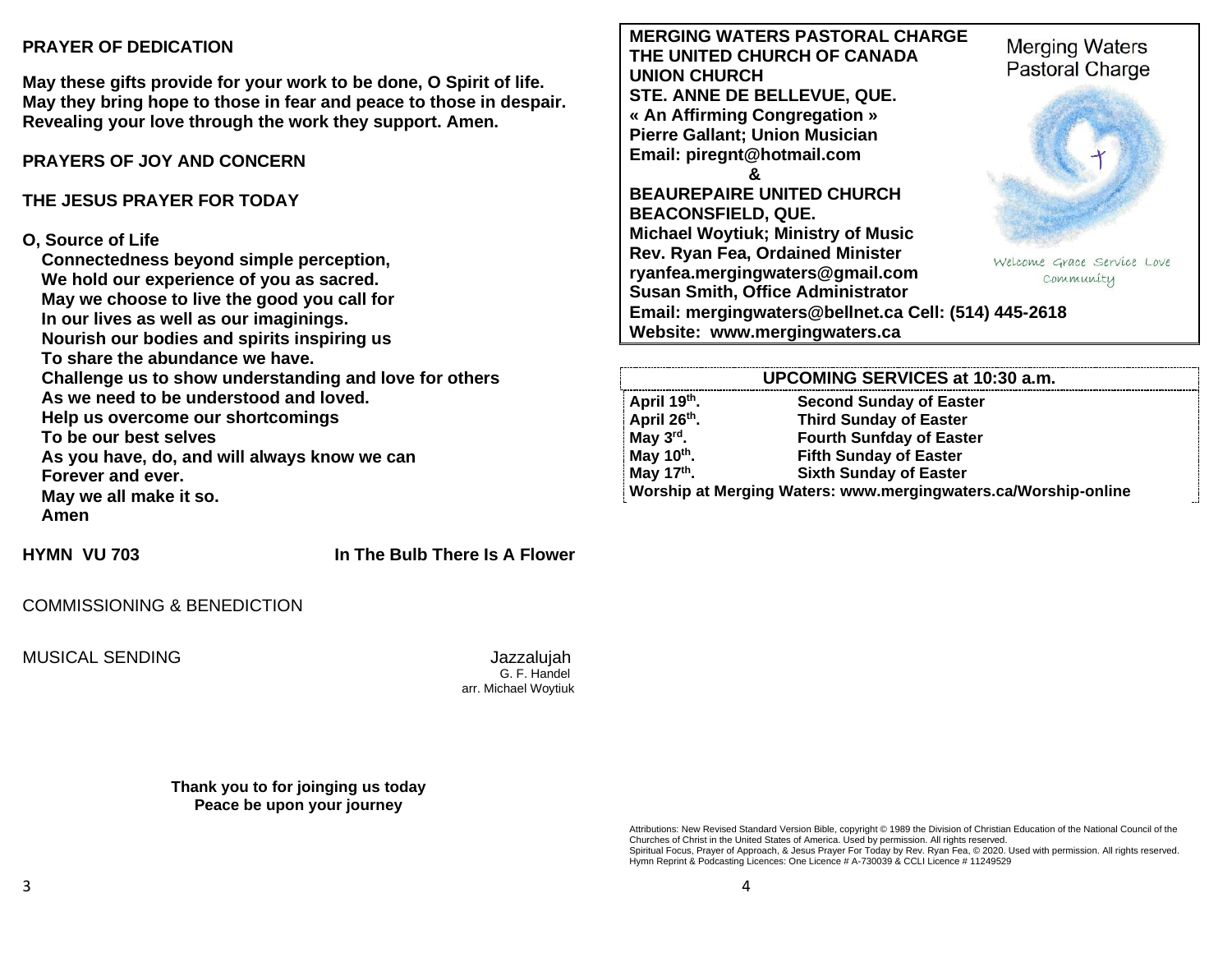### **PRAYER OF DEDICATION**

**May these gifts provide for your work to be done, O Spirit of life. May they bring hope to those in fear and peace to those in despair. Revealing your love through the work they support. Amen.**

# **PRAYERS OF JOY AND CONCERN**

# **THE JESUS PRAYER FOR TODAY**

### **O, Source of Life**

**Connectedness beyond simple perception, We hold our experience of you as sacred. May we choose to live the good you call for In our lives as well as our imaginings. Nourish our bodies and spirits inspiring us To share the abundance we have. Challenge us to show understanding and love for others As we need to be understood and loved. Help us overcome our shortcomings To be our best selves As you have, do, and will always know we can Forever and ever. May we all make it so. Amen**

## **HYMN VU 703 In The Bulb There Is A Flower**

### COMMISSIONING & BENEDICTION

MUSICAL SENDING Jazzalujah

 G. F. Handel arr. Michael Woytiuk

**Thank you to for joinging us today Peace be upon your journey**

**MERGING WATERS PASTORAL CHARGE Merging Waters THE UNITED CHURCH OF CANADA** Pastoral Charge **UNION CHURCH STE. ANNE DE BELLEVUE, QUE. « An Affirming Congregation » Pierre Gallant; Union Musician Email: [piregnt@hotmail.com](mailto:piregnt@hotmail.com) & BEAUREPAIRE UNITED CHURCH BEACONSFIELD, QUE. Michael Woytiuk; Ministry of Music Rev. Ryan Fea, Ordained Minister**  Welcome Grace Service Love **[ryanfea.mergingwaters@gmail.com](mailto:ryanfea.mergingwaters@gmail.com)**  Community **Susan Smith, Office Administrator Email: [mergingwaters@bellnet.ca](mailto:mergingwaters@bellnet.ca) Cell: (514) 445-2618 Website: [www.mergingwaters.ca](http://www.mergingwaters.ca/)**

#### **UPCOMING SERVICES at 10:30 a.m. April 19th . Second Sunday of Easter April 26th . Third Sunday of Easter May 3rd . Fourth Sunfday of Easter May 10th . Fifth Sunday of Easter May 17th . Sixth Sunday of Easter Worship at Merging Waters: [www.mergingwaters.ca/Worship-online](http://www.mergingwaters.ca/Worship-online)**

Attributions: New Revised Standard Version Bible, copyright © 1989 the Division of Christian Education of the National Council of the Churches of Christ in the United States of America. Used by permission. All rights reserved. Spiritual Focus, Prayer of Approach, & Jesus Prayer For Today by Rev. Ryan Fea, © 2020. Used with permission. All rights reserved. Hymn Reprint & Podcasting Licences: One Licence # A-730039 & CCLI Licence # 11249529

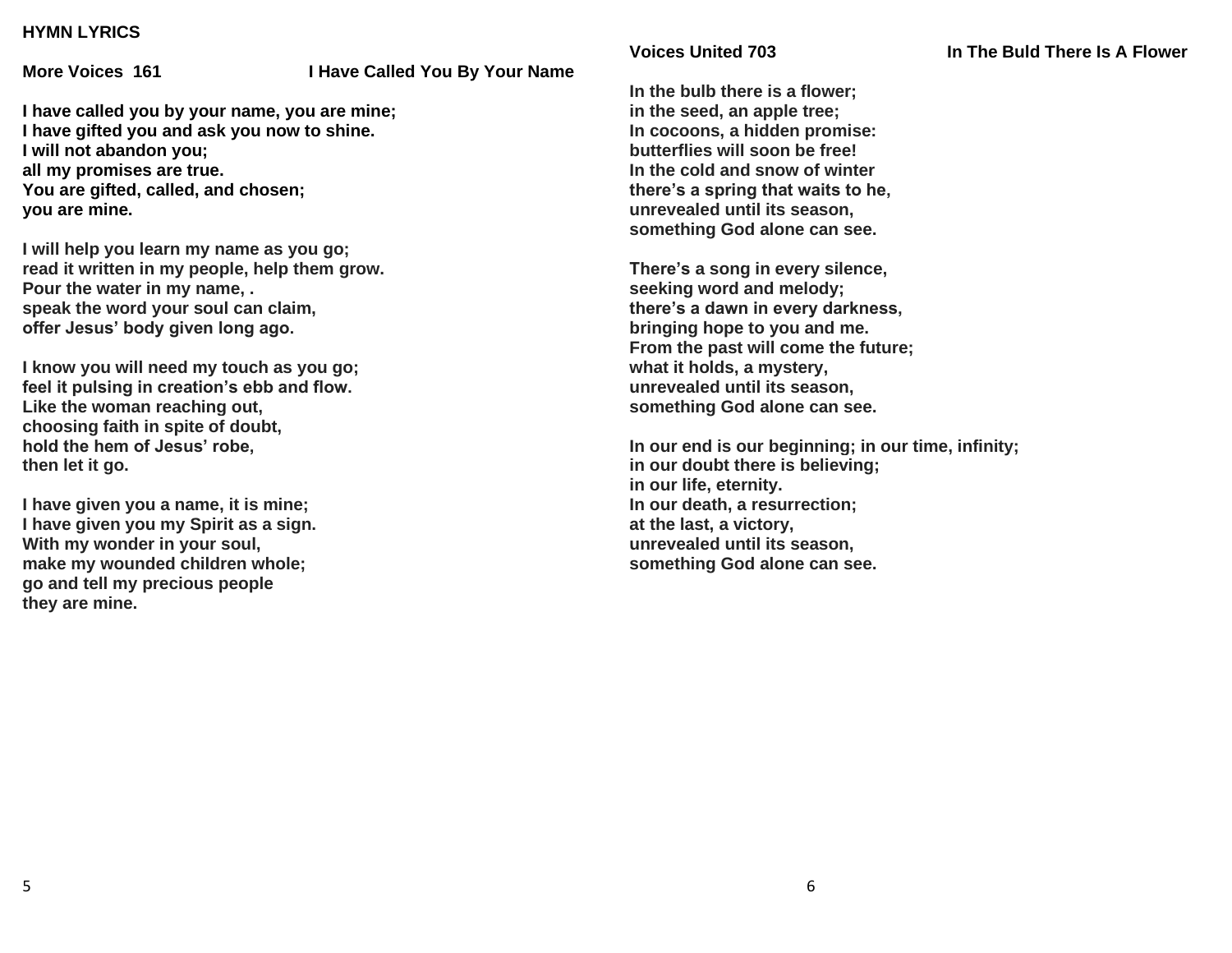### **HYMN LYRICS**

#### **More Voices 161 I Have Called You By Your Name**

**I have called you by your name, you are mine; I have gifted you and ask you now to shine. I will not abandon you; all my promises are true. You are gifted, called, and chosen; you are mine.**

**I will help you learn my name as you go; read it written in my people, help them grow. Pour the water in my name, . speak the word your soul can claim, offer Jesus' body given long ago.**

**I know you will need my touch as you go; feel it pulsing in creation's ebb and flow. Like the woman reaching out, choosing faith in spite of doubt, hold the hem of Jesus' robe, then let it go.**

**I have given you a name, it is mine; I have given you my Spirit as a sign. With my wonder in your soul, make my wounded children whole; go and tell my precious people they are mine.**

**In the bulb there is a flower; in the seed, an apple tree; In cocoons, a hidden promise: butterflies will soon be free! In the cold and snow of winter there's a spring that waits to he, unrevealed until its season, something God alone can see.**

**There's a song in every silence, seeking word and melody; there's a dawn in every darkness, bringing hope to you and me. From the past will come the future; what it holds, a mystery, unrevealed until its season, something God alone can see.**

**In our end is our beginning; in our time, infinity; in our doubt there is believing; in our life, eternity. In our death, a resurrection; at the last, a victory, unrevealed until its season, something God alone can see.**